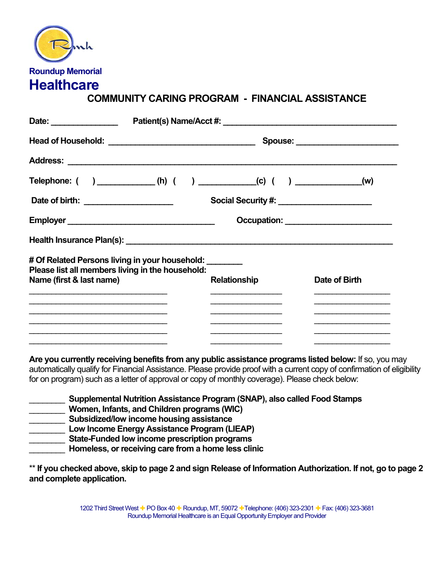| $\mathbf{h}$            |
|-------------------------|
| <b>Roundup Memorial</b> |
| <b>Healthcare</b>       |

## **COMMUNITY CARING PROGRAM - FINANCIAL ASSISTANCE**

|                                                                                                                       | Telephone: ( ) ____________(h) ( ) ___________(c) ( ) ______________(w) |                     |               |
|-----------------------------------------------------------------------------------------------------------------------|-------------------------------------------------------------------------|---------------------|---------------|
| Date of birth: _______________________                                                                                |                                                                         |                     |               |
|                                                                                                                       |                                                                         |                     |               |
|                                                                                                                       |                                                                         |                     |               |
| # Of Related Persons living in your household: ________                                                               | Please list all members living in the household:                        |                     |               |
| Name (first & last name)                                                                                              |                                                                         | <b>Relationship</b> | Date of Birth |
| <u> 1989 - Johann Harry Harry Harry Harry Harry Harry Harry Harry Harry Harry Harry Harry Harry Harry Harry Harry</u> |                                                                         |                     |               |
|                                                                                                                       |                                                                         |                     |               |
|                                                                                                                       |                                                                         |                     |               |

**Are you currently receiving benefits from any public assistance programs listed below:** If so, you may automatically qualify for Financial Assistance. Please provide proof with a current copy of confirmation of eligibility for on program) such as a letter of approval or copy of monthly coverage). Please check below:

| Supplemental Nutrition Assistance Program (SNAP), also called Food Stamps |
|---------------------------------------------------------------------------|
| Women, Infants, and Children programs (WIC)                               |
| Subsidized/low income housing assistance                                  |
| Low Income Energy Assistance Program (LIEAP)                              |
| State-Funded low income prescription programs                             |
| Homeless, or receiving care from a home less clinic                       |

\*\* **If you checked above, skip to page 2 and sign Release of Information Authorization. If not, go to page 2 and complete application.**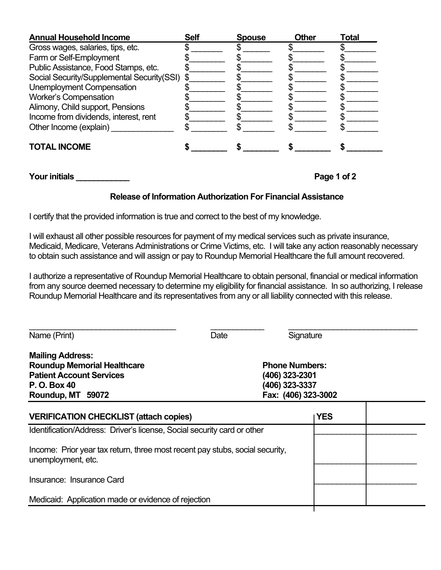| <b>Annual Household Income</b>                | <b>Self</b> | <b>Spouse</b> | Other | Total |
|-----------------------------------------------|-------------|---------------|-------|-------|
| Gross wages, salaries, tips, etc.             |             |               |       |       |
| Farm or Self-Employment                       |             |               |       |       |
| Public Assistance, Food Stamps, etc.          |             |               |       |       |
| Social Security/Supplemental Security(SSI) \$ |             |               |       |       |
| Unemployment Compensation                     |             |               |       |       |
| <b>Worker's Compensation</b>                  |             |               |       |       |
| Alimony, Child support, Pensions              |             |               |       |       |
| Income from dividends, interest, rent         |             |               |       |       |
| Other Income (explain)                        |             |               |       |       |
| <b>TOTAL INCOME</b>                           |             |               |       |       |

**Your initials \_\_\_\_\_\_\_\_\_\_\_\_ Page 1 of 2** 

## **Release of Information Authorization For Financial Assistance**

I certify that the provided information is true and correct to the best of my knowledge.

I will exhaust all other possible resources for payment of my medical services such as private insurance, Medicaid, Medicare, Veterans Administrations or Crime Victims, etc. I will take any action reasonably necessary to obtain such assistance and will assign or pay to Roundup Memorial Healthcare the full amount recovered.

I authorize a representative of Roundup Memorial Healthcare to obtain personal, financial or medical information from any source deemed necessary to determine my eligibility for financial assistance. In so authorizing, I release Roundup Memorial Healthcare and its representatives from any or all liability connected with this release.

\_\_\_\_\_\_\_\_\_\_\_\_\_\_\_\_\_\_\_\_\_\_\_\_\_\_\_\_\_\_\_\_\_ \_\_\_\_\_\_\_\_\_\_\_\_ \_\_\_\_\_\_\_\_\_\_\_\_\_\_\_\_\_\_\_\_\_\_\_\_\_\_\_\_\_

| Name (Print)                                                                                                                          | Date | Signature                                                                        |            |  |
|---------------------------------------------------------------------------------------------------------------------------------------|------|----------------------------------------------------------------------------------|------------|--|
| <b>Mailing Address:</b><br><b>Roundup Memorial Healthcare</b><br><b>Patient Account Services</b><br>P. O. Box 40<br>Roundup, MT 59072 |      | <b>Phone Numbers:</b><br>(406) 323-2301<br>(406) 323-3337<br>Fax: (406) 323-3002 |            |  |
| <b>VERIFICATION CHECKLIST (attach copies)</b>                                                                                         |      |                                                                                  | <b>YES</b> |  |
| Identification/Address: Driver's license, Social security card or other                                                               |      |                                                                                  |            |  |
| Income: Prior year tax return, three most recent pay stubs, social security,<br>unemployment, etc.                                    |      |                                                                                  |            |  |
| Insurance: Insurance Card                                                                                                             |      |                                                                                  |            |  |
| Medicaid: Application made or evidence of rejection                                                                                   |      |                                                                                  |            |  |